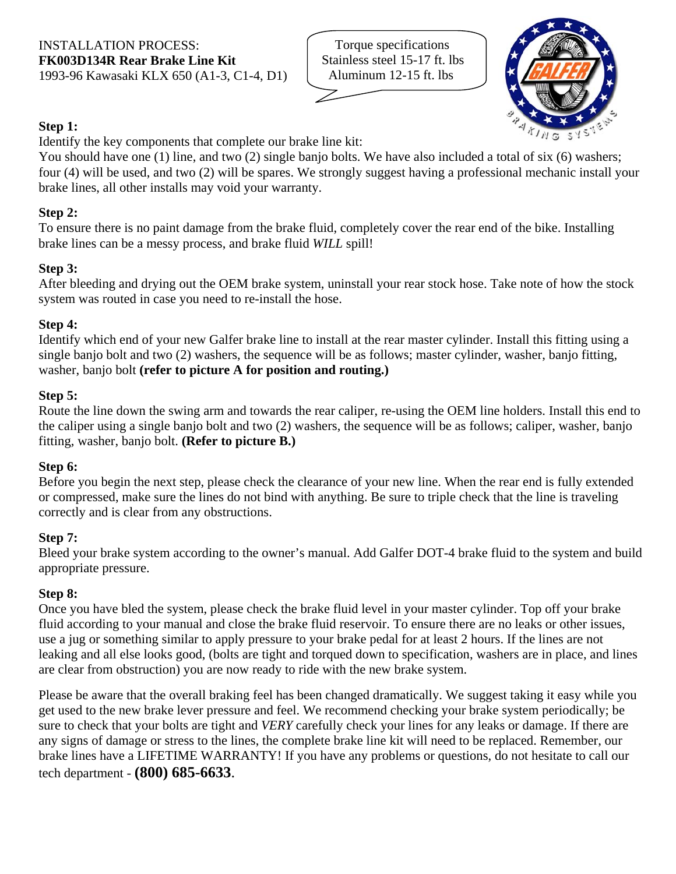Torque specifications Stainless steel 15-17 ft. lbs Aluminum 12-15 ft. lbs



# **Step 1:**

Identify the key components that complete our brake line kit:

You should have one (1) line, and two (2) single banjo bolts. We have also included a total of six (6) washers; four (4) will be used, and two (2) will be spares. We strongly suggest having a professional mechanic install your brake lines, all other installs may void your warranty.

## **Step 2:**

To ensure there is no paint damage from the brake fluid, completely cover the rear end of the bike. Installing brake lines can be a messy process, and brake fluid *WILL* spill!

### **Step 3:**

After bleeding and drying out the OEM brake system, uninstall your rear stock hose. Take note of how the stock system was routed in case you need to re-install the hose.

#### **Step 4:**

Identify which end of your new Galfer brake line to install at the rear master cylinder. Install this fitting using a single banjo bolt and two (2) washers, the sequence will be as follows; master cylinder, washer, banjo fitting, washer, banjo bolt **(refer to picture A for position and routing.)**

#### **Step 5:**

Route the line down the swing arm and towards the rear caliper, re-using the OEM line holders. Install this end to the caliper using a single banjo bolt and two (2) washers, the sequence will be as follows; caliper, washer, banjo fitting, washer, banjo bolt. **(Refer to picture B.)**

#### **Step 6:**

Before you begin the next step, please check the clearance of your new line. When the rear end is fully extended or compressed, make sure the lines do not bind with anything. Be sure to triple check that the line is traveling correctly and is clear from any obstructions.

# **Step 7:**

Bleed your brake system according to the owner's manual. Add Galfer DOT-4 brake fluid to the system and build appropriate pressure.

#### **Step 8:**

Once you have bled the system, please check the brake fluid level in your master cylinder. Top off your brake fluid according to your manual and close the brake fluid reservoir. To ensure there are no leaks or other issues, use a jug or something similar to apply pressure to your brake pedal for at least 2 hours. If the lines are not leaking and all else looks good, (bolts are tight and torqued down to specification, washers are in place, and lines are clear from obstruction) you are now ready to ride with the new brake system.

Please be aware that the overall braking feel has been changed dramatically. We suggest taking it easy while you get used to the new brake lever pressure and feel. We recommend checking your brake system periodically; be sure to check that your bolts are tight and *VERY* carefully check your lines for any leaks or damage. If there are any signs of damage or stress to the lines, the complete brake line kit will need to be replaced. Remember, our brake lines have a LIFETIME WARRANTY! If you have any problems or questions, do not hesitate to call our tech department - **(800) 685-6633**.